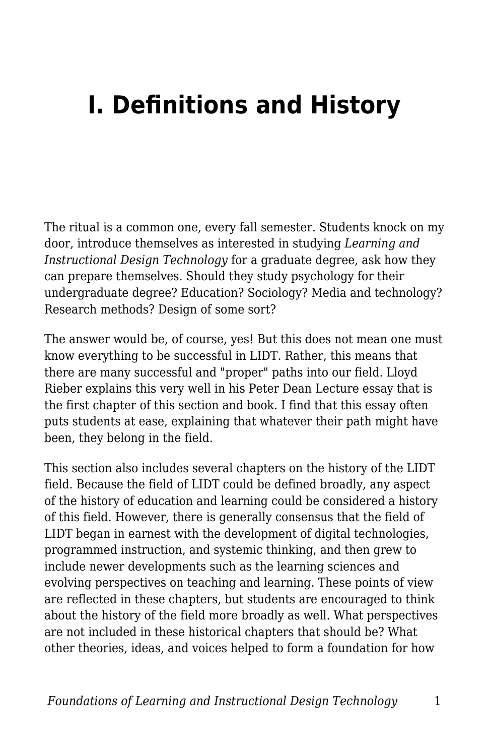## **I. Definitions and History**

The ritual is a common one, every fall semester. Students knock on my door, introduce themselves as interested in studying *Learning and Instructional Design Technology* for a graduate degree, ask how they can prepare themselves. Should they study psychology for their undergraduate degree? Education? Sociology? Media and technology? Research methods? Design of some sort?

The answer would be, of course, yes! But this does not mean one must know everything to be successful in LIDT. Rather, this means that there are many successful and "proper" paths into our field. Lloyd Rieber explains this very well in his Peter Dean Lecture essay that is the first chapter of this section and book. I find that this essay often puts students at ease, explaining that whatever their path might have been, they belong in the field.

This section also includes several chapters on the history of the LIDT field. Because the field of LIDT could be defined broadly, any aspect of the history of education and learning could be considered a history of this field. However, there is generally consensus that the field of LIDT began in earnest with the development of digital technologies, programmed instruction, and systemic thinking, and then grew to include newer developments such as the learning sciences and evolving perspectives on teaching and learning. These points of view are reflected in these chapters, but students are encouraged to think about the history of the field more broadly as well. What perspectives are not included in these historical chapters that should be? What other theories, ideas, and voices helped to form a foundation for how